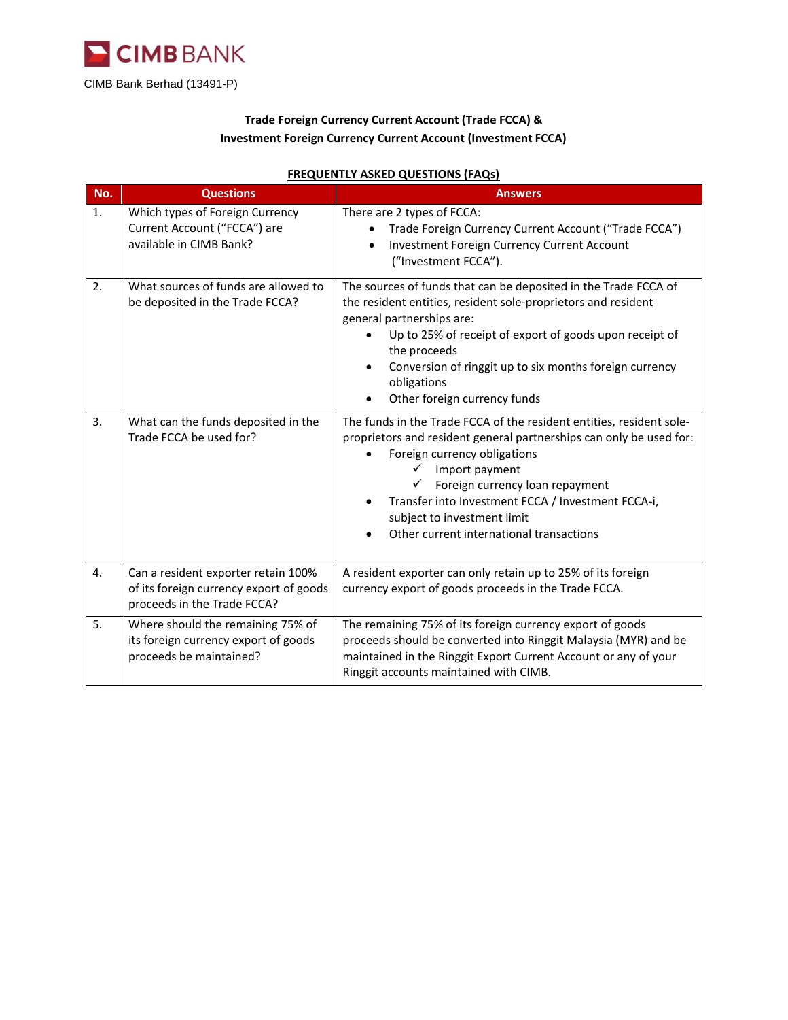

## **Trade Foreign Currency Current Account (Trade FCCA) & Investment Foreign Currency Current Account (Investment FCCA)**

| No. | <b>Questions</b>                                                                                              | <b>Answers</b>                                                                                                                                                                                                                                                                                                                                                         |
|-----|---------------------------------------------------------------------------------------------------------------|------------------------------------------------------------------------------------------------------------------------------------------------------------------------------------------------------------------------------------------------------------------------------------------------------------------------------------------------------------------------|
| 1.  | Which types of Foreign Currency<br>Current Account ("FCCA") are<br>available in CIMB Bank?                    | There are 2 types of FCCA:<br>Trade Foreign Currency Current Account ("Trade FCCA")<br><b>Investment Foreign Currency Current Account</b><br>("Investment FCCA").                                                                                                                                                                                                      |
| 2.  | What sources of funds are allowed to<br>be deposited in the Trade FCCA?                                       | The sources of funds that can be deposited in the Trade FCCA of<br>the resident entities, resident sole-proprietors and resident<br>general partnerships are:<br>Up to 25% of receipt of export of goods upon receipt of<br>the proceeds<br>Conversion of ringgit up to six months foreign currency<br>obligations<br>Other foreign currency funds                     |
| 3.  | What can the funds deposited in the<br>Trade FCCA be used for?                                                | The funds in the Trade FCCA of the resident entities, resident sole-<br>proprietors and resident general partnerships can only be used for:<br>Foreign currency obligations<br>Import payment<br>✓<br>Foreign currency loan repayment<br>Transfer into Investment FCCA / Investment FCCA-i,<br>subject to investment limit<br>Other current international transactions |
| 4.  | Can a resident exporter retain 100%<br>of its foreign currency export of goods<br>proceeds in the Trade FCCA? | A resident exporter can only retain up to 25% of its foreign<br>currency export of goods proceeds in the Trade FCCA.                                                                                                                                                                                                                                                   |
| 5.  | Where should the remaining 75% of<br>its foreign currency export of goods<br>proceeds be maintained?          | The remaining 75% of its foreign currency export of goods<br>proceeds should be converted into Ringgit Malaysia (MYR) and be<br>maintained in the Ringgit Export Current Account or any of your<br>Ringgit accounts maintained with CIMB.                                                                                                                              |

## **FREQUENTLY ASKED QUESTIONS (FAQs)**